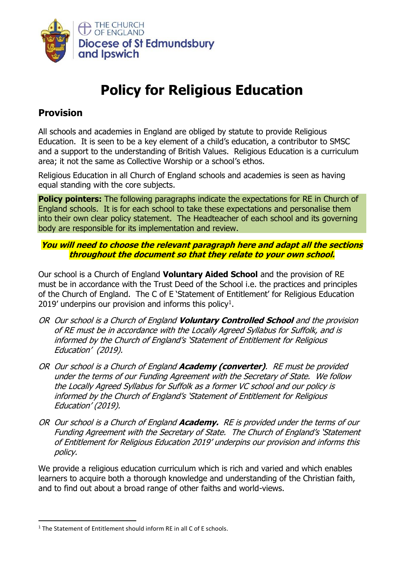

# **Policy for Religious Education**

## **Provision**

All schools and academies in England are obliged by statute to provide Religious Education. It is seen to be a key element of a child's education, a contributor to SMSC and a support to the understanding of British Values. Religious Education is a curriculum area; it not the same as Collective Worship or a school's ethos.

Religious Education in all Church of England schools and academies is seen as having equal standing with the core subjects.

**Policy pointers:** The following paragraphs indicate the expectations for RE in Church of England schools. It is for each school to take these expectations and personalise them into their own clear policy statement. The Headteacher of each school and its governing body are responsible for its implementation and review.

#### **You will need to choose the relevant paragraph here and adapt all the sections throughout the document so that they relate to your own school.**

Our school is a Church of England **Voluntary Aided School** and the provision of RE must be in accordance with the Trust Deed of the School i.e. the practices and principles of the Church of England. The C of E 'Statement of Entitlement' for Religious Education 2019' underpins our provision and informs this policy<sup>1</sup>.

- OR Our school is a Church of England **Voluntary Controlled School** and the provision of RE must be in accordance with the Locally Agreed Syllabus for Suffolk, and is informed by the Church of England's 'Statement of Entitlement for Religious Education' (2019).
- OR Our school is a Church of England **Academy (converter)**. RE must be provided under the terms of our Funding Agreement with the Secretary of State. We follow the Locally Agreed Syllabus for Suffolk as a former VC school and our policy is informed by the Church of England's 'Statement of Entitlement for Religious Education' (2019).
- OR Our school is a Church of England **Academy.** RE is provided under the terms of our Funding Agreement with the Secretary of State. The Church of England's 'Statement of Entitlement for Religious Education 2019' underpins our provision and informs this policy.

We provide a religious education curriculum which is rich and varied and which enables learners to acquire both a thorough knowledge and understanding of the Christian faith, and to find out about a broad range of other faiths and world-views.

 $1$  The Statement of Entitlement should inform RE in all C of E schools.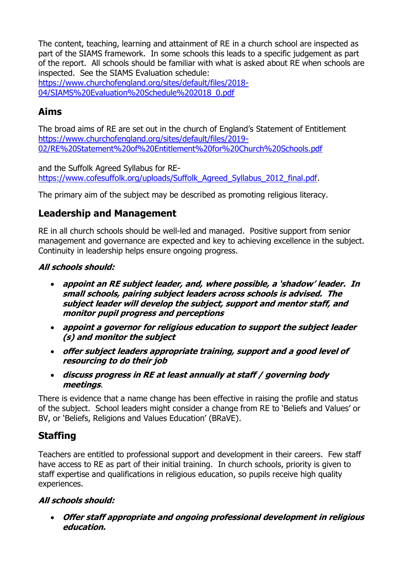The content, teaching, learning and attainment of RE in a church school are inspected as part of the SIAMS framework. In some schools this leads to a specific judgement as part of the report. All schools should be familiar with what is asked about RE when schools are inspected. See the SIAMS Evaluation schedule:

[https://www.churchofengland.org/sites/default/files/2018-](https://www.churchofengland.org/sites/default/files/2018-04/SIAMS%20Evaluation%20Schedule%202018_0.pdf) [04/SIAMS%20Evaluation%20Schedule%202018\\_0.pdf](https://www.churchofengland.org/sites/default/files/2018-04/SIAMS%20Evaluation%20Schedule%202018_0.pdf)

# **Aims**

The broad aims of RE are set out in the church of England's Statement of Entitlement [https://www.churchofengland.org/sites/default/files/2019-](https://www.churchofengland.org/sites/default/files/2019-02/RE%20Statement%20of%20Entitlement%20for%20Church%20Schools.pdf) [02/RE%20Statement%20of%20Entitlement%20for%20Church%20Schools.pdf](https://www.churchofengland.org/sites/default/files/2019-02/RE%20Statement%20of%20Entitlement%20for%20Church%20Schools.pdf)

and the Suffolk Agreed Syllabus for RE[https://www.cofesuffolk.org/uploads/Suffolk\\_Agreed\\_Syllabus\\_2012\\_final.pdf.](https://www.cofesuffolk.org/uploads/Suffolk_Agreed_Syllabus_2012_final.pdf)

The primary aim of the subject may be described as promoting religious literacy.

# **Leadership and Management**

RE in all church schools should be well-led and managed. Positive support from senior management and governance are expected and key to achieving excellence in the subject. Continuity in leadership helps ensure ongoing progress.

#### **All schools should:**

- **appoint an RE subject leader, and, where possible, <sup>a</sup>'shadow' leader. In small schools, pairing subject leaders across schools is advised. The subject leader will develop the subject, support and mentor staff, and monitor pupil progress and perceptions**
- **appoint a governor for religious education to support the subject leader (s) and monitor the subject**
- **offer subject leaders appropriate training, support and a good level of resourcing to do their job**
- **discuss progress in RE at least annually at staff / governing body meetings**.

There is evidence that a name change has been effective in raising the profile and status of the subject. School leaders might consider a change from RE to 'Beliefs and Values' or BV, or 'Beliefs, Religions and Values Education' (BRaVE).

# **Staffing**

Teachers are entitled to professional support and development in their careers. Few staff have access to RE as part of their initial training. In church schools, priority is given to staff expertise and qualifications in religious education, so pupils receive high quality experiences.

#### **All schools should:**

• **Offer staff appropriate and ongoing professional development in religious education.**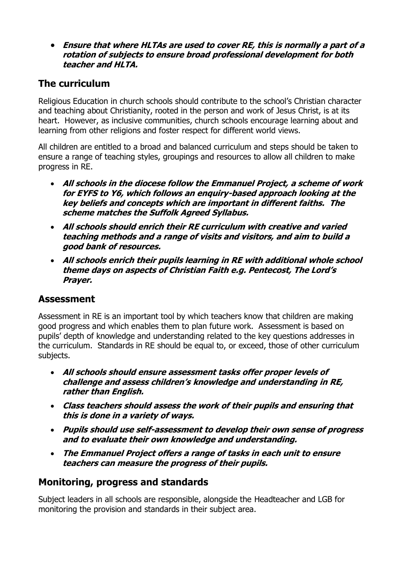• **Ensure that where HLTAs are used to cover RE, this is normally a part of a rotation of subjects to ensure broad professional development for both teacher and HLTA.**

# **The curriculum**

Religious Education in church schools should contribute to the school's Christian character and teaching about Christianity, rooted in the person and work of Jesus Christ, is at its heart. However, as inclusive communities, church schools encourage learning about and learning from other religions and foster respect for different world views.

All children are entitled to a broad and balanced curriculum and steps should be taken to ensure a range of teaching styles, groupings and resources to allow all children to make progress in RE.

- **All schools in the diocese follow the Emmanuel Project, a scheme of work for EYFS to Y6, which follows an enquiry-based approach looking at the key beliefs and concepts which are important in different faiths. The scheme matches the Suffolk Agreed Syllabus.**
- **All schools should enrich their RE curriculum with creative and varied teaching methods and a range of visits and visitors, and aim to build a good bank of resources.**
- **All schools enrich their pupils learning in RE with additional whole school theme days on aspects of Christian Faith e.g. Pentecost, The Lord's Prayer.**

#### **Assessment**

Assessment in RE is an important tool by which teachers know that children are making good progress and which enables them to plan future work. Assessment is based on pupils' depth of knowledge and understanding related to the key questions addresses in the curriculum. Standards in RE should be equal to, or exceed, those of other curriculum subjects.

- **All schools should ensure assessment tasks offer proper levels of challenge and assess children's knowledge and understanding in RE, rather than English.**
- **Class teachers should assess the work of their pupils and ensuring that this is done in a variety of ways.**
- **Pupils should use self-assessment to develop their own sense of progress and to evaluate their own knowledge and understanding.**
- **The Emmanuel Project offers a range of tasks in each unit to ensure teachers can measure the progress of their pupils.**

#### **Monitoring, progress and standards**

Subject leaders in all schools are responsible, alongside the Headteacher and LGB for monitoring the provision and standards in their subject area.